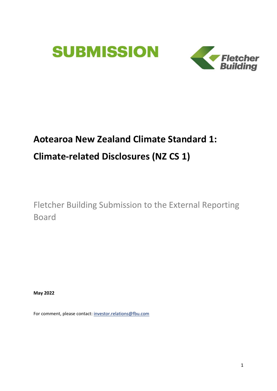



# **Aotearoa New Zealand Climate Standard 1:**

# **Climate-related Disclosures (NZ CS 1)**

Fletcher Building Submission to the External Reporting Board

**May 2022**

For comment, please contact[: investor.relations@fbu.com](mailto:investor.relations@fbu.com)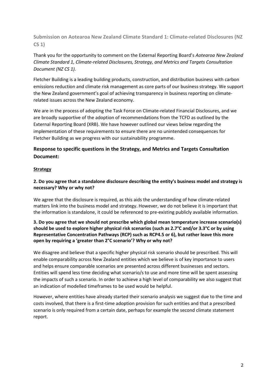**Submission on Aotearoa New Zealand Climate Standard 1: Climate-related Disclosures (NZ CS 1)**

Thank you for the opportunity to comment on the External Reporting Board's *Aotearoa New Zealand Climate Standard 1, Climate-related Disclosures, Strategy, and Metrics and Targets Consultation Document (NZ CS 1).* 

Fletcher Building is a leading building products, construction, and distribution business with carbon emissions reduction and climate risk management as core parts of our business strategy. We support the New Zealand government's goal of achieving transparency in business reporting on climaterelated issues across the New Zealand economy.

We are in the process of adopting the Task Force on Climate-related Financial Disclosures, and we are broadly supportive of the adoption of recommendations from the TCFD as outlined by the External Reporting Board (XRB). We have however outlined our views below regarding the implementation of these requirements to ensure there are no unintended consequences for Fletcher Building as we progress with our sustainability programme.

## **Response to specific questions in the Strategy, and Metrics and Targets Consultation Document:**

#### **Strategy**

#### **2. Do you agree that a standalone disclosure describing the entity's business model and strategy is necessary? Why or why not?**

We agree that the disclosure is required, as this aids the understanding of how climate-related matters link into the business model and strategy. However, we do not believe it is important that the information is standalone, it could be referenced to pre-existing publicly available information.

#### **3. Do you agree that we should not prescribe which global mean temperature increase scenario(s) should be used to explore higher physical risk scenarios (such as 2.7°C and/or 3.3°C or by using Representative Concentration Pathways (RCP) such as RCP4.5 or 6), but rather leave this more open by requiring a 'greater than 2°C scenario'? Why or why not?**

We disagree and believe that a specific higher physical risk scenario should be prescribed. This will enable comparability across New Zealand entities which we believe is of key importance to users and helps ensure comparable scenarios are presented across different businesses and sectors. Entities will spend less time deciding what scenario/s to use and more time will be spent assessing the impacts of such a scenario. In order to achieve a high level of comparability we also suggest that an indication of modelled timeframes to be used would be helpful.

However, where entities have already started their scenario analysis we suggest due to the time and costs involved, that there is a first-time adoption provision for such entities and that a prescribed scenario is only required from a certain date, perhaps for example the second climate statement report.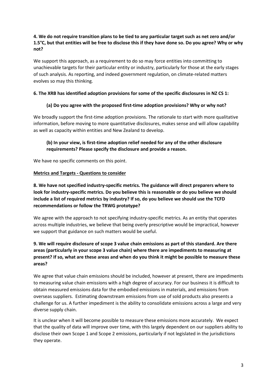### **4. We do not require transition plans to be tied to any particular target such as net zero and/or 1.5°C, but that entities will be free to disclose this if they have done so. Do you agree? Why or why not?**

We support this approach, as a requirement to do so may force entities into committing to unachievable targets for their particular entity or industry, particularly for those at the early stages of such analysis. As reporting, and indeed government regulation, on climate-related matters evolves so may this thinking.

#### **6. The XRB has identified adoption provisions for some of the specific disclosures in NZ CS 1:**

### **(a) Do you agree with the proposed first-time adoption provisions? Why or why not?**

We broadly support the first-time adoption provisions. The rationale to start with more qualitative information, before moving to more quantitative disclosures, makes sense and will allow capability as well as capacity within entities and New Zealand to develop.

### **(b) In your view, is first-time adoption relief needed for any of the other disclosure requirements? Please specify the disclosure and provide a reason.**

We have no specific comments on this point.

#### **Metrics and Targets - Questions to consider**

**8. We have not specified industry-specific metrics. The guidance will direct preparers where to look for industry-specific metrics. Do you believe this is reasonable or do you believe we should include a list of required metrics by industry? If so, do you believe we should use the TCFD recommendations or follow the TRWG prototype?** 

We agree with the approach to not specifying industry-specific metrics. As an entity that operates across multiple industries, we believe that being overly prescriptive would be impractical, however we support that guidance on such matters would be useful.

### **9. We will require disclosure of scope 3 value chain emissions as part of this standard. Are there areas (particularly in your scope 3 value chain) where there are impediments to measuring at present? If so, what are these areas and when do you think it might be possible to measure these areas?**

We agree that value chain emissions should be included, however at present, there are impediments to measuring value chain emissions with a high degree of accuracy. For our business it is difficult to obtain measured emissions data for the embodied emissions in materials, and emissions from overseas suppliers. Estimating downstream emissions from use of sold products also presents a challenge for us. A further impediment is the ability to consolidate emissions across a large and very diverse supply chain.

It is unclear when it will become possible to measure these emissions more accurately. We expect that the quality of data will improve over time, with this largely dependent on our suppliers ability to disclose their own Scope 1 and Scope 2 emissions, particularly if not legislated in the jurisdictions they operate.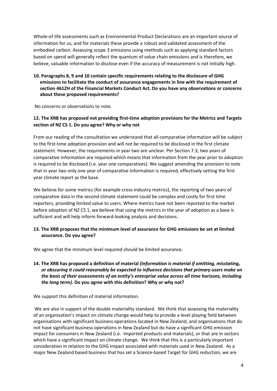Whole-of-life assessments such as Environmental Product Declarations are an important source of information for us, and for materials these provide a robust and validated assessment of the embodied carbon. Assessing scope 3 emissions using methods such as applying standard factors based on spend will generally reflect the quantum of value chain emissions and is therefore, we believe, valuable information to disclose even if the accuracy of measurement is not initially high.

### **10. Paragraphs 8, 9 and 10 contain specific requirements relating to the disclosure of GHG emissions to facilitate the conduct of assurance engagements in line with the requirement of section 461ZH of the Financial Markets Conduct Act. Do you have any observations or concerns about these proposed requirements?**

No concerns or observations to note.

### **12. The XRB has proposed not providing first-time adoption provisions for the Metrics and Targets section of NZ CS 1. Do you agree? Why or why not**

From our reading of the consultation we understand that all comparative information will be subject to the first-time adoption provision and will not be required to be disclosed in the first climate statement. However, the requirements in year two are unclear. Per Section 7.3, two years of comparative information are required which means that information from the year prior to adoption is required to be disclosed (i.e. year one comparatives). We suggest amending the provision to note that in year two only one year of comparative information is required, effectively setting the first year climate report as the base.

We believe for some metrics (for example cross-industry metrics), the reporting of two years of comparative data in the second climate statement could be complex and costly for first time reporters, providing limited value to users. Where metrics have not been reported to the market before adoption of NZ CS 1, we believe that using the metrics in the year of adoption as a base is sufficient and will help inform forward-looking analysis and decisions.

#### **13. The XRB proposes that the minimum level of assurance for GHG emissions be set at limited assurance. Do you agree?**

We agree that the minimum level required should be limited assurance.

#### **14. The XRB has proposed a definition of material** *(Information is material if omitting, misstating, or obscuring it could reasonably be expected to influence decisions that primary users make on the basis of their assessments of an entity's enterprise value across all time horizons, including the long term).* **Do you agree with this definition? Why or why not?**

We support this definition of material information.

We are also in support of the double materiality standard. We think that assessing the materiality of an organisation's impact on climate change would help to provide a level playing field between organisations with significant business operations located in New Zealand, and organisations that do not have significant business operations in New Zealand but do have a significant GHG emission impact for consumers in New Zealand (i.e. imported products and materials), or that are in sectors which have a significant impact on climate change. We think that this is a particularly important consideration in relation to the GHG impact associated with materials used in New Zealand. As a major New Zealand based business that has set a Science-based Target for GHG reduction, we are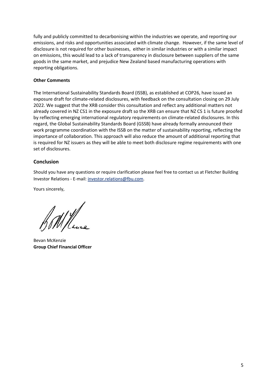fully and publicly committed to decarbonising within the industries we operate, and reporting our emissions, and risks and opportunities associated with climate change. However, if the same level of disclosure is not required for other businesses, either in similar industries or with a similar impact on emissions, this would lead to a lack of transparency in disclosure between suppliers of the same goods in the same market, and prejudice New Zealand based manufacturing operations with reporting obligations.

#### **Other Comments**

The International Sustainability Standards Board (ISSB), as established at COP26, have issued an exposure draft for climate-related disclosures, with feedback on the consultation closing on 29 July 2022. We suggest that the XRB consider this consultation and reflect any additional matters not already covered in NZ CS1 in the exposure draft so the XRB can ensure that NZ CS 1 is future proofed by reflecting emerging international regulatory requirements on climate-related disclosures. In this regard, the Global Sustainability Standards Board (GSSB) have already formally announced their work programme coordination with the ISSB on the matter of sustainability reporting, reflecting the importance of collaboration. This approach will also reduce the amount of additional reporting that is required for NZ issuers as they will be able to meet both disclosure regime requirements with one set of disclosures.

#### **Conclusion**

Should you have any questions or require clarification please feel free to contact us at Fletcher Building Investor Relations - E-mail[: investor.relations@fbu.com.](mailto:investor.relations@fbu.com)

Yours sincerely,

 $\mathcal{U}/\mathcal{U}$ 

Bevan McKenzie **Group Chief Financial Officer**